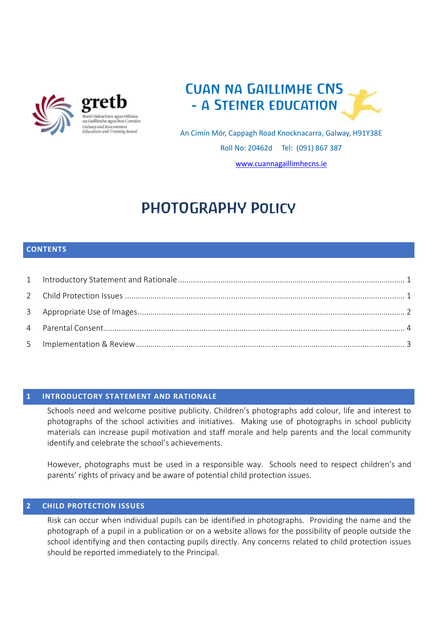

na Gaillimhe agus Ros Comáin Galway and Roscommon **Education and Training Board** 



An Cimín Mór, Cappagh Road Knocknacarra, Galway, H91Y38E Roll No: 20462d Tel: (091) 867 387 [www.cuannagaillimhecns.ie](http://www.cuannagaillimhecns.ie/)

# PHOTOGRAPHY Policy

## **CONTENTS**

## <span id="page-0-0"></span>**1 INTRODUCTORY STATEMENT AND RATIONALE**

Schools need and welcome positive publicity. Children's photographs add colour, life and interest to photographs of the school activities and initiatives. Making use of photographs in school publicity materials can increase pupil motivation and staff morale and help parents and the local community identify and celebrate the school's achievements.

However, photographs must be used in a responsible way. Schools need to respect children's and parents' rights of privacy and be aware of potential child protection issues.

## <span id="page-0-1"></span>**2 CHILD PROTECTION ISSUES**

Risk can occur when individual pupils can be identified in photographs. Providing the name and the photograph of a pupil in a publication or on a website allows for the possibility of people outside the school identifying and then contacting pupils directly. Any concerns related to child protection issues should be reported immediately to the Principal.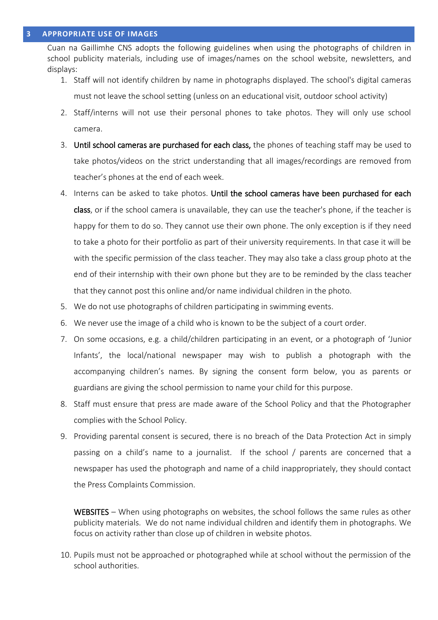<span id="page-1-0"></span>Cuan na Gaillimhe CNS adopts the following guidelines when using the photographs of children in school publicity materials, including use of images/names on the school website, newsletters, and displays:

- 1. Staff will not identify children by name in photographs displayed. The school's digital cameras must not leave the school setting (unless on an educational visit, outdoor school activity)
- 2. Staff/interns will not use their personal phones to take photos. They will only use school camera.
- 3. Until school cameras are purchased for each class, the phones of teaching staff may be used to take photos/videos on the strict understanding that all images/recordings are removed from teacher's phones at the end of each week.
- 4. Interns can be asked to take photos. Until the school cameras have been purchased for each class, or if the school camera is unavailable, they can use the teacher's phone, if the teacher is happy for them to do so. They cannot use their own phone. The only exception is if they need to take a photo for their portfolio as part of their university requirements. In that case it will be with the specific permission of the class teacher. They may also take a class group photo at the end of their internship with their own phone but they are to be reminded by the class teacher that they cannot post this online and/or name individual children in the photo.
- 5. We do not use photographs of children participating in swimming events.
- 6. We never use the image of a child who is known to be the subject of a court order.
- 7. On some occasions, e.g. a child/children participating in an event, or a photograph of 'Junior Infants', the local/national newspaper may wish to publish a photograph with the accompanying children's names. By signing the consent form below, you as parents or guardians are giving the school permission to name your child for this purpose.
- 8. Staff must ensure that press are made aware of the School Policy and that the Photographer complies with the School Policy.
- 9. Providing parental consent is secured, there is no breach of the Data Protection Act in simply passing on a child's name to a journalist. If the school / parents are concerned that a newspaper has used the photograph and name of a child inappropriately, they should contact the Press Complaints Commission.

WEBSITES – When using photographs on websites, the school follows the same rules as other publicity materials. We do not name individual children and identify them in photographs. We focus on activity rather than close up of children in website photos.

10. Pupils must not be approached or photographed while at school without the permission of the school authorities.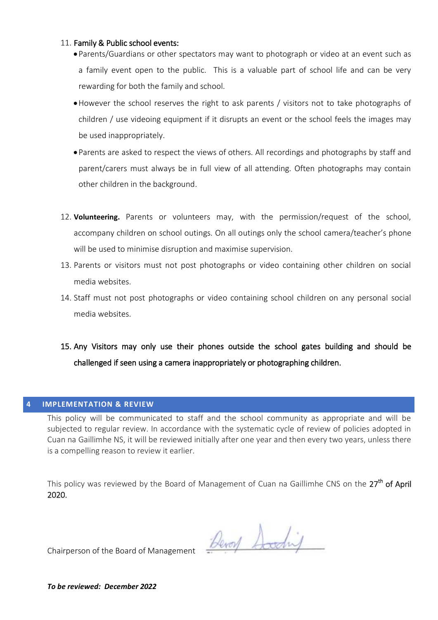#### 11. Family & Public school events:

- Parents/Guardians or other spectators may want to photograph or video at an event such as a family event open to the public. This is a valuable part of school life and can be very rewarding for both the family and school.
- However the school reserves the right to ask parents / visitors not to take photographs of children / use videoing equipment if it disrupts an event or the school feels the images may be used inappropriately.
- Parents are asked to respect the views of others. All recordings and photographs by staff and parent/carers must always be in full view of all attending. Often photographs may contain other children in the background.
- 12. **Volunteering.** Parents or volunteers may, with the permission/request of the school, accompany children on school outings. On all outings only the school camera/teacher's phone will be used to minimise disruption and maximise supervision.
- 13. Parents or visitors must not post photographs or video containing other children on social media websites.
- 14. Staff must not post photographs or video containing school children on any personal social media websites.
- 15. Any Visitors may only use their phones outside the school gates building and should be challenged if seen using a camera inappropriately or photographing children.

#### <span id="page-2-0"></span>**4 IMPLEMENTATION & REVIEW**

This policy will be communicated to staff and the school community as appropriate and will be subjected to regular review. In accordance with the systematic cycle of review of policies adopted in Cuan na Gaillimhe NS, it will be reviewed initially after one year and then every two years, unless there is a compelling reason to review it earlier.

This policy was reviewed by the Board of Management of Cuan na Gaillimhe CNS on the 27<sup>th</sup> of April 2020.

Devoy Socding

Chairperson of the Board of Management

*To be reviewed: December 2022*